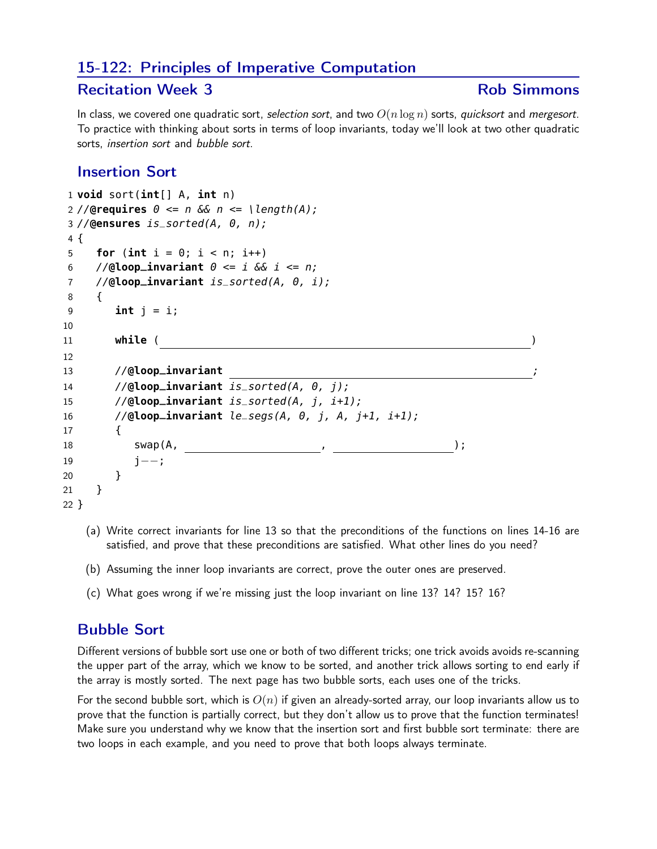## 15-122: Principles of Imperative Computation

## Recitation Week 3 and 2008 and 2009 and 2008 and 2009 and 2008 and 2009 and 2008 and 2009 and 2008 and 2008 and 2008 and 2008 and 2008 and 2008 and 2008 and 2008 and 2008 and 2008 and 2008 and 2008 and 2008 and 2008 and 20

In class, we covered one quadratic sort, selection sort, and two  $O(n \log n)$  sorts, quicksort and mergesort. To practice with thinking about sorts in terms of loop invariants, today we'll look at two other quadratic sorts, insertion sort and bubble sort.

## Insertion Sort

```
1 void sort(int[] A, int n)
2 //@requires \theta \le n & n \le \theta \length(A);
3 //@ensures is_sorted(A, 0, n);
4 {
5 for (int i = 0; i < n; i++)6 //@loop_invariant \theta \leq i & i \leq n;
7 //@loop_invariant is_sorted(A, 0, i);
8 {
9 int j = i;
10
11 while ( )
12
13 //@loop_invariant ;
14 //@loop_invariant is_sorted(A, 0, j);
15 //@loop_invariant is_sorted(A, j, i+1);
16 //@loop_invariant le_segs(A, 0, j, A, j+1, i+1);
17 {
18 swap(A, , );
19 j−−;
20 }
21 }
22 }
```
- (a) Write correct invariants for line 13 so that the preconditions of the functions on lines 14-16 are satisfied, and prove that these preconditions are satisfied. What other lines do you need?
- (b) Assuming the inner loop invariants are correct, prove the outer ones are preserved.
- (c) What goes wrong if we're missing just the loop invariant on line 13? 14? 15? 16?

## Bubble Sort

Different versions of bubble sort use one or both of two different tricks; one trick avoids avoids re-scanning the upper part of the array, which we know to be sorted, and another trick allows sorting to end early if the array is mostly sorted. The next page has two bubble sorts, each uses one of the tricks.

For the second bubble sort, which is  $O(n)$  if given an already-sorted array, our loop invariants allow us to prove that the function is partially correct, but they don't allow us to prove that the function terminates! Make sure you understand why we know that the insertion sort and first bubble sort terminate: there are two loops in each example, and you need to prove that both loops always terminate.